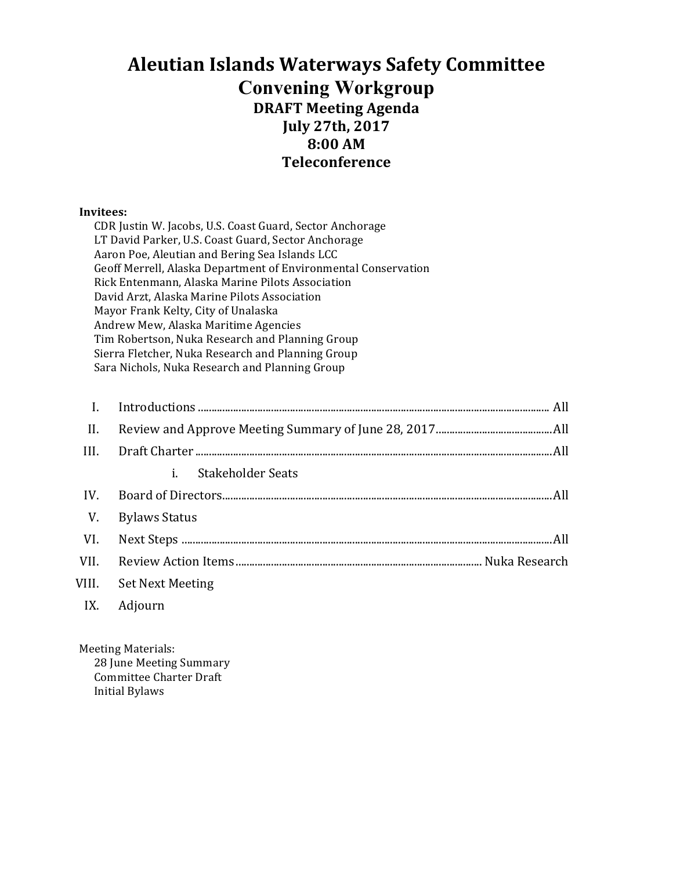### **Aleutian Islands Waterways Safety Committee Convening Workgroup DRAFT Meeting Agenda July 27th, 2017 8:00 AM Teleconference**

#### **Invitees:**

| CDR Justin W. Jacobs, U.S. Coast Guard, Sector Anchorage       |  |  |  |
|----------------------------------------------------------------|--|--|--|
| LT David Parker, U.S. Coast Guard, Sector Anchorage            |  |  |  |
| Aaron Poe, Aleutian and Bering Sea Islands LCC                 |  |  |  |
| Geoff Merrell, Alaska Department of Environmental Conservation |  |  |  |
| Rick Entenmann, Alaska Marine Pilots Association               |  |  |  |
| David Arzt, Alaska Marine Pilots Association                   |  |  |  |
| Mayor Frank Kelty, City of Unalaska                            |  |  |  |
| Andrew Mew, Alaska Maritime Agencies                           |  |  |  |
| Tim Robertson, Nuka Research and Planning Group                |  |  |  |
| Sierra Fletcher, Nuka Research and Planning Group              |  |  |  |
| Sara Nichols, Nuka Research and Planning Group                 |  |  |  |

| II.  |                         |  |
|------|-------------------------|--|
| III. |                         |  |
|      | i.<br>Stakeholder Seats |  |
| IV.  |                         |  |
| V.   | <b>Bylaws Status</b>    |  |
| VI.  |                         |  |
| VII. |                         |  |
|      | VIII. Set Next Meeting  |  |
| IX.  | Adjourn                 |  |

Meeting Materials:

28 June Meeting Summary Committee Charter Draft Initial Bylaws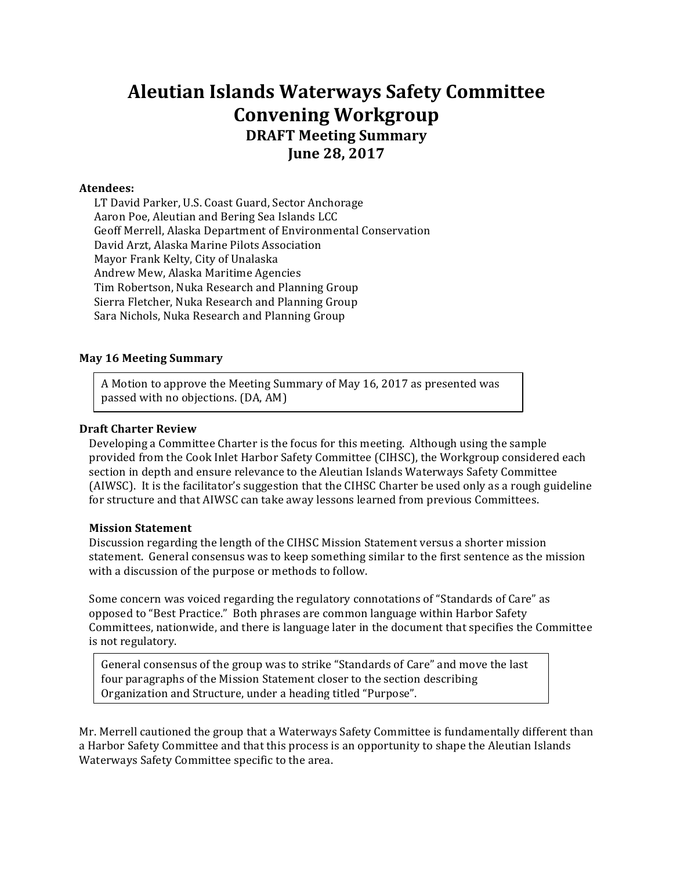### **Aleutian Islands Waterways Safety Committee Convening Workgroup DRAFT Meeting Summary June 28, 2017**

#### **Atendees:**

LT David Parker, U.S. Coast Guard, Sector Anchorage Aaron Poe, Aleutian and Bering Sea Islands LCC Geoff Merrell, Alaska Department of Environmental Conservation David Arzt, Alaska Marine Pilots Association Mayor Frank Kelty, City of Unalaska Andrew Mew, Alaska Maritime Agencies Tim Robertson, Nuka Research and Planning Group Sierra Fletcher, Nuka Research and Planning Group Sara Nichols, Nuka Research and Planning Group

#### **May 16 Meeting Summary**

A Motion to approve the Meeting Summary of May 16, 2017 as presented was passed with no objections. (DA, AM)

#### **Draft Charter Review**

Developing a Committee Charter is the focus for this meeting. Although using the sample provided from the Cook Inlet Harbor Safety Committee (CIHSC), the Workgroup considered each section in depth and ensure relevance to the Aleutian Islands Waterways Safety Committee (AIWSC). It is the facilitator's suggestion that the CIHSC Charter be used only as a rough guideline for structure and that AIWSC can take away lessons learned from previous Committees.

#### **Mission Statement**

section and Structure. The contract unit of the contract unit of the contract unit of the contract unit of the

Discussion regarding the length of the CIHSC Mission Statement versus a shorter mission statement. General consensus was to keep something similar to the first sentence as the mission with a discussion of the purpose or methods to follow.

Some concern was voiced regarding the regulatory connotations of "Standards of Care" as opposed to "Best Practice." Both phrases are common language within Harbor Safety Committees, nationwide, and there is language later in the document that specifies the Committee is not regulatory.

General consensus of the group was to strike "Standards of Care" and move the last four paragraphs of the Mission Statement closer to the section describing Organization and Structure, under a heading titled "Purpose".

Mr. Merrell cautioned the group that a Waterways Safety Committee is fundamentally different than a Harbor Safety Committee and that this process is an opportunity to shape the Aleutian Islands Waterways Safety Committee specific to the area.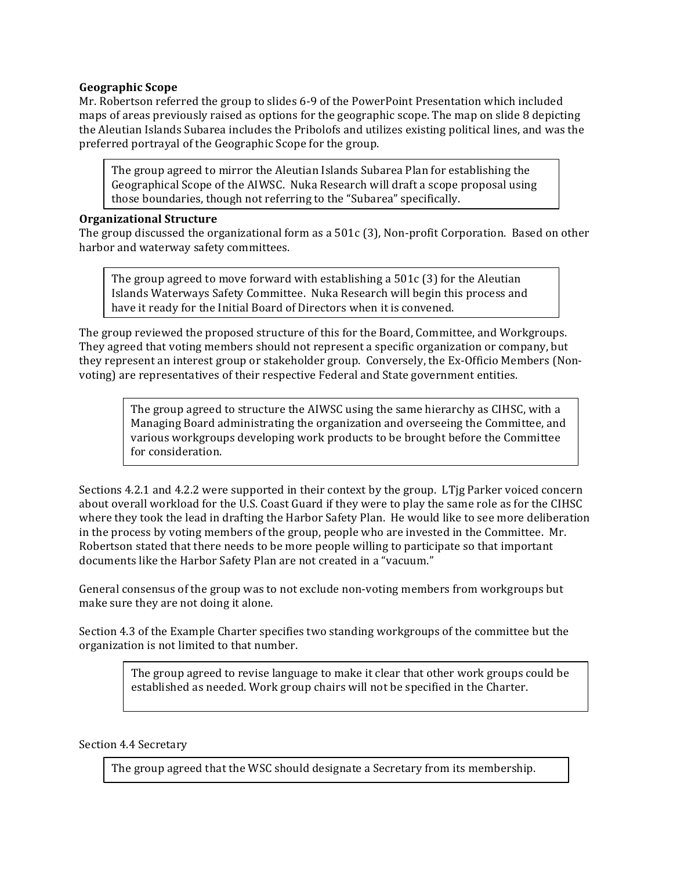#### **Geographic Scope**

Mr. Robertson referred the group to slides 6-9 of the PowerPoint Presentation which included maps of areas previously raised as options for the geographic scope. The map on slide 8 depicting the Aleutian Islands Subarea includes the Pribolofs and utilizes existing political lines, and was the preferred portrayal of the Geographic Scope for the group.

The group agreed to mirror the Aleutian Islands Subarea Plan for establishing the Geographical Scope of the AIWSC. Nuka Research will draft a scope proposal using those boundaries, though not referring to the "Subarea" specifically.

#### **Organizational Structure**

The group discussed the organizational form as a  $501c$  (3), Non-profit Corporation. Based on other harbor and waterway safety committees.

The group agreed to move forward with establishing a  $501c$  (3) for the Aleutian Islands Waterways Safety Committee. Nuka Research will begin this process and have it ready for the Initial Board of Directors when it is convened.

The group reviewed the proposed structure of this for the Board, Committee, and Workgroups. They agreed that voting members should not represent a specific organization or company, but they represent an interest group or stakeholder group. Conversely, the Ex-Officio Members (Nonvoting) are representatives of their respective Federal and State government entities.

> The group agreed to structure the AIWSC using the same hierarchy as CIHSC, with a Managing Board administrating the organization and overseeing the Committee, and various workgroups developing work products to be brought before the Committee for consideration.

Sections 4.2.1 and 4.2.2 were supported in their context by the group. LTjg Parker voiced concern about overall workload for the U.S. Coast Guard if they were to play the same role as for the CIHSC where they took the lead in drafting the Harbor Safety Plan. He would like to see more deliberation in the process by voting members of the group, people who are invested in the Committee. Mr. Robertson stated that there needs to be more people willing to participate so that important documents like the Harbor Safety Plan are not created in a "vacuum."

General consensus of the group was to not exclude non-voting members from workgroups but make sure they are not doing it alone.

Section 4.3 of the Example Charter specifies two standing workgroups of the committee but the organization is not limited to that number.

> The group agreed to revise language to make it clear that other work groups could be established as needed. Work group chairs will not be specified in the Charter.

#### Section 4.4 Secretary

The group agreed that the WSC should designate a Secretary from its membership.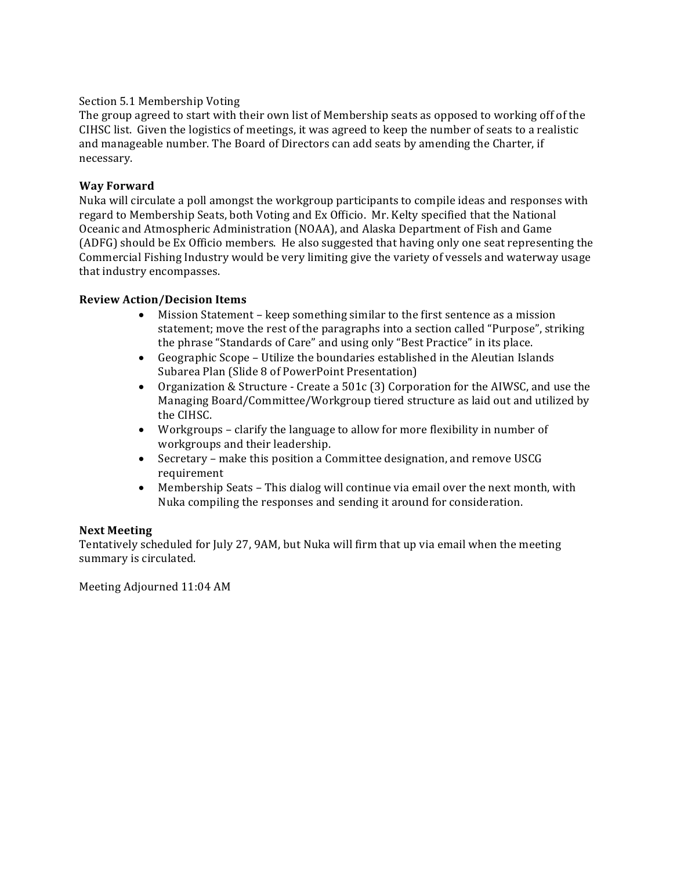#### Section 5.1 Membership Voting

The group agreed to start with their own list of Membership seats as opposed to working off of the CIHSC list. Given the logistics of meetings, it was agreed to keep the number of seats to a realistic and manageable number. The Board of Directors can add seats by amending the Charter, if necessary.

#### **Way Forward**

Nuka will circulate a poll amongst the workgroup participants to compile ideas and responses with regard to Membership Seats, both Voting and Ex Officio. Mr. Kelty specified that the National Oceanic and Atmospheric Administration (NOAA), and Alaska Department of Fish and Game (ADFG) should be Ex Officio members. He also suggested that having only one seat representing the Commercial Fishing Industry would be very limiting give the variety of vessels and waterway usage that industry encompasses.

#### **Review Action/Decision Items**

- Mission Statement keep something similar to the first sentence as a mission statement; move the rest of the paragraphs into a section called "Purpose", striking the phrase "Standards of Care" and using only "Best Practice" in its place.
- Geographic Scope Utilize the boundaries established in the Aleutian Islands Subarea Plan (Slide 8 of PowerPoint Presentation)
- Organization & Structure Create a 501c (3) Corporation for the AIWSC, and use the Managing Board/Committee/Workgroup tiered structure as laid out and utilized by the CIHSC.
- Workgroups clarify the language to allow for more flexibility in number of workgroups and their leadership.
- Secretary make this position a Committee designation, and remove USCG requirement
- Membership Seats This dialog will continue via email over the next month, with Nuka compiling the responses and sending it around for consideration.

#### **Next Meeting**

Tentatively scheduled for July 27, 9AM, but Nuka will firm that up via email when the meeting summary is circulated.

Meeting Adjourned 11:04 AM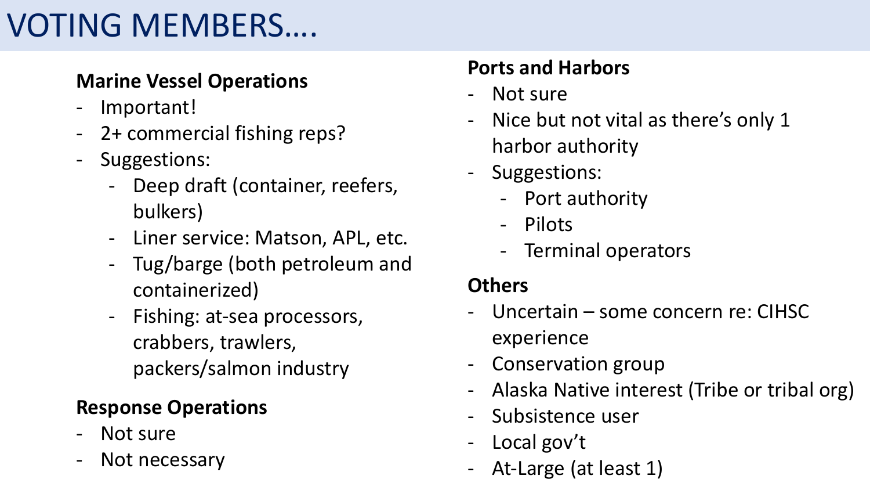# VOTING MEMBERS....

## **Marine Vessel Operations**

- Important!
- 2+ commercial fishing reps?
- Suggestions:
	- Deep draft (container, reefers, bulkers)
	- Liner service: Matson, APL, etc.
	- Tug/barge (both petroleum and containerized)
	- Fishing: at-sea processors, crabbers, trawlers, packers/salmon industry

## **Response Operations**

- Not sure
- Not necessary

### **Ports and Harbors**

- Not sure
- Nice but not vital as there's only 1 harbor authority
- Suggestions:
	- Port authority
	- Pilots
	- Terminal operators

### **Others**

- Uncertain some concern re: CIHSC experience
- Conservation group
- Alaska Native interest (Tribe or tribal org)
- Subsistence user
- Local gov't
- At-Large (at least 1)